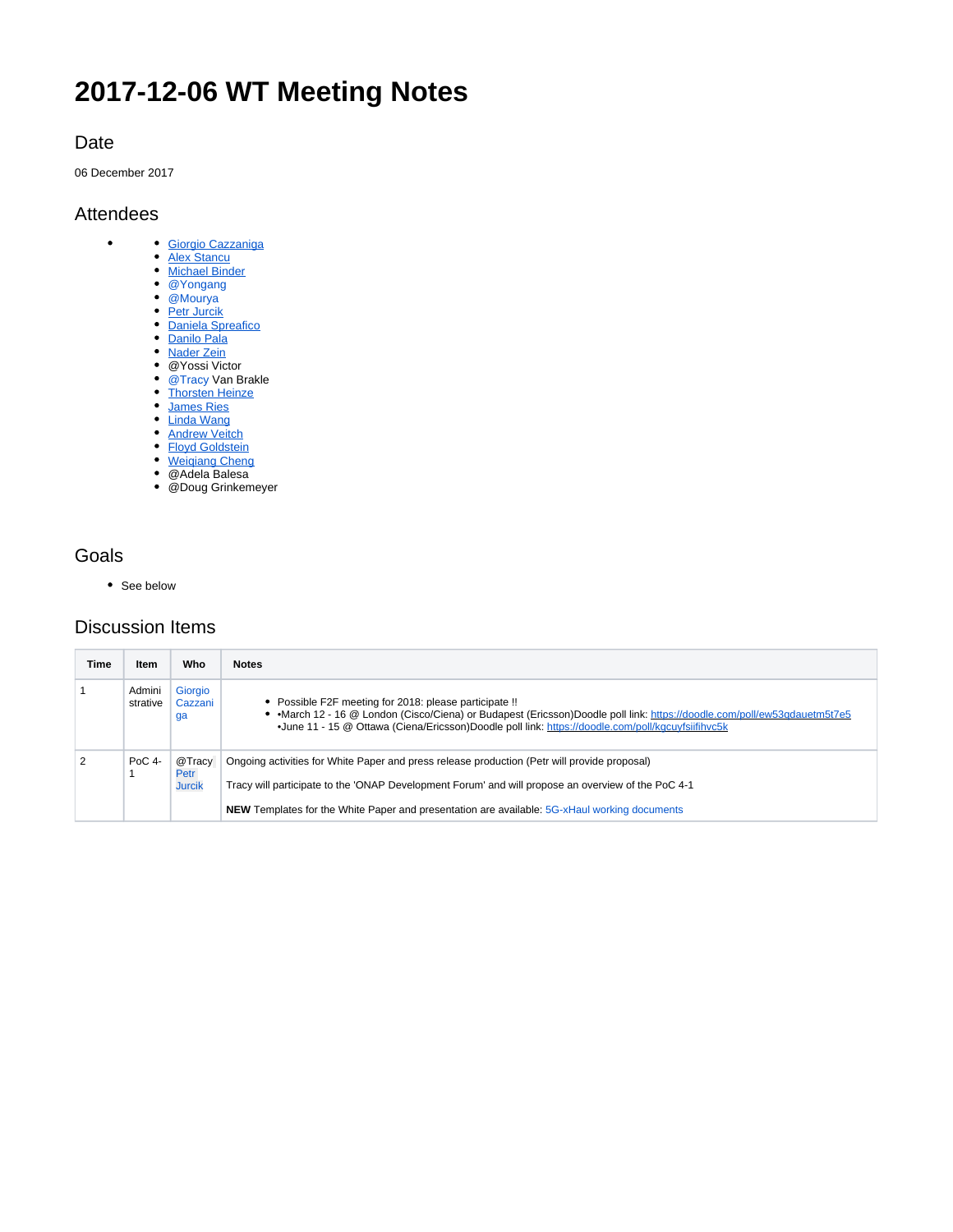# **2017-12-06 WT Meeting Notes**

### Date

06 December 2017

#### Attendees

 $\bullet$ 

- [Giorgio Cazzaniga](https://wiki.opennetworking.org/display/~giorgio.cazzaniga)
	- **[Alex Stancu](https://wiki.opennetworking.org/display/~alexandrus)**
	- [Michael Binder](https://wiki.opennetworking.org/display/~michael.binder)
	- @Yongang
	- @Mourya
	- [Petr Jurcik](https://wiki.opennetworking.org/display/~petr.jurcik) [Daniela Spreafico](https://wiki.opennetworking.org/display/~spreafico.daniela)
	- [Danilo Pala](https://wiki.opennetworking.org/display/~danilo.pala)
	- [Nader Zein](https://wiki.opennetworking.org/display/~nader.zein)
	- @Yossi Victor
	- @Tracy Van Brakle
	- **[Thorsten Heinze](https://wiki.opennetworking.org/display/~thorsten.heinze)**
	- [James Ries](https://wiki.opennetworking.org/display/~james.ries)
	- [Linda Wang](https://wiki.opennetworking.org/display/~Linda+Wang)
	- **[Andrew Veitch](https://wiki.opennetworking.org/display/~andrew.veitch)**
	- [Floyd Goldstein](https://wiki.opennetworking.org/display/~floyd.goldstein)
	- [Weiqiang Cheng](https://wiki.opennetworking.org/display/~CHENGWEIQIANG@CHINAMOBILE.COM) @Adela Balesa
- @Doug Grinkemeyer

## Goals

• See below

# Discussion Items

| Time | Item               | Who                             | <b>Notes</b>                                                                                                                                                                                                                                                                                              |
|------|--------------------|---------------------------------|-----------------------------------------------------------------------------------------------------------------------------------------------------------------------------------------------------------------------------------------------------------------------------------------------------------|
|      | Admini<br>strative | Giorgio<br>Cazzani<br>ga        | • Possible F2F meeting for 2018: please participate !!<br>• • March 12 - 16 @ London (Cisco/Ciena) or Budapest (Ericsson)Doodle poll link: https://doodle.com/poll/ew53gdauetm5t7e5<br>•June 11 - 15 @ Ottawa (Ciena/Ericsson)Doodle poll link: https://doodle.com/poll/kacuvfsiifihyc5k                  |
|      | $PoC$ 4-           | @Tracy<br>Petr<br><b>Jurcik</b> | Ongoing activities for White Paper and press release production (Petr will provide proposal)<br>Tracy will participate to the 'ONAP Development Forum' and will propose an overview of the PoC 4-1<br><b>NEW</b> Templates for the White Paper and presentation are available: 5G-xHaul working documents |